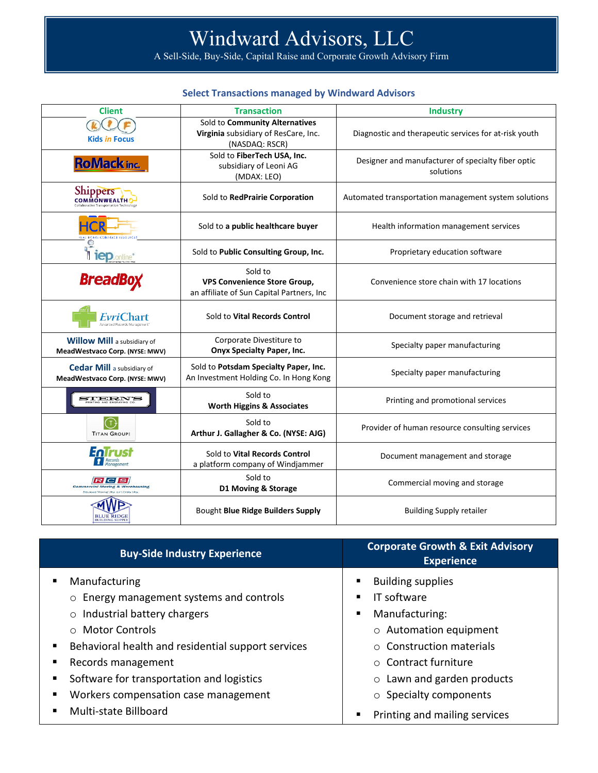# Windward Advisors, LLC

A Sell-Side, Buy-Side, Capital Raise and Corporate Growth Advisory Firm

## **Select Transactions managed by Windward Advisors**

| <b>Client</b>                                                        | <b>Transaction</b>                                                                          | <b>Industry</b>                                                 |
|----------------------------------------------------------------------|---------------------------------------------------------------------------------------------|-----------------------------------------------------------------|
| <b>Kids in Focus</b>                                                 | Sold to Community Alternatives<br>Virginia subsidiary of ResCare, Inc.<br>(NASDAQ: RSCR)    | Diagnostic and therapeutic services for at-risk youth           |
| <b>RoMack inc.</b>                                                   | Sold to FiberTech USA, Inc.<br>subsidiary of Leoni AG<br>(MDAX: LEO)                        | Designer and manufacturer of specialty fiber optic<br>solutions |
| <b>Shippers</b><br><b>COMMONWEALTH</b>                               | Sold to RedPrairie Corporation                                                              | Automated transportation management system solutions            |
|                                                                      | Sold to a public healthcare buyer                                                           | Health information management services                          |
|                                                                      | Sold to Public Consulting Group, Inc.                                                       | Proprietary education software                                  |
| <b>BreadBox</b>                                                      | Sold to<br><b>VPS Convenience Store Group,</b><br>an affiliate of Sun Capital Partners, Inc | Convenience store chain with 17 locations                       |
|                                                                      | Sold to Vital Records Control                                                               | Document storage and retrieval                                  |
| <b>Willow Mill</b> a subsidiary of<br>MeadWestvaco Corp. (NYSE: MWV) | Corporate Divestiture to<br><b>Onyx Specialty Paper, Inc.</b>                               | Specialty paper manufacturing                                   |
| <b>Cedar Mill</b> a subsidiary of<br>MeadWestvaco Corp. (NYSE: MWV)  | Sold to Potsdam Specialty Paper, Inc.<br>An Investment Holding Co. In Hong Kong             | Specialty paper manufacturing                                   |
| STERN'S                                                              | Sold to<br><b>Worth Higgins &amp; Associates</b>                                            | Printing and promotional services                               |
| <b>TITAN GROUPS</b>                                                  | Sold to<br>Arthur J. Gallagher & Co. (NYSE: AJG)                                            | Provider of human resource consulting services                  |
| EnTrust<br>Records                                                   | Sold to Vital Records Control<br>a platform company of Windjammer                           | Document management and storage                                 |
| R C S<br><b>Commercial Moving &amp; Warehousing</b>                  | Sold to<br>D1 Moving & Storage                                                              | Commercial moving and storage                                   |
| <b>BLUE RIDG</b>                                                     | Bought Blue Ridge Builders Supply                                                           | <b>Building Supply retailer</b>                                 |

| <b>Buy-Side Industry Experience</b>                                                                                                                                                                                                                                                                                         | <b>Corporate Growth &amp; Exit Advisory</b><br><b>Experience</b>                                                                                                                                                                |
|-----------------------------------------------------------------------------------------------------------------------------------------------------------------------------------------------------------------------------------------------------------------------------------------------------------------------------|---------------------------------------------------------------------------------------------------------------------------------------------------------------------------------------------------------------------------------|
| Manufacturing<br>Energy management systems and controls<br>$\circ$<br>Industrial battery chargers<br>$\circ$<br>$\circ$ Motor Controls<br>Behavioral health and residential support services<br>п<br>Records management<br>п<br>Software for transportation and logistics<br>п<br>Workers compensation case management<br>п | <b>Building supplies</b><br>IT software<br>Manufacturing:<br>٠<br>$\circ$ Automation equipment<br>$\circ$ Construction materials<br>○ Contract furniture<br>Lawn and garden products<br>$\circ$<br>$\circ$ Specialty components |
| Multi-state Billboard<br>п                                                                                                                                                                                                                                                                                                  | Printing and mailing services                                                                                                                                                                                                   |